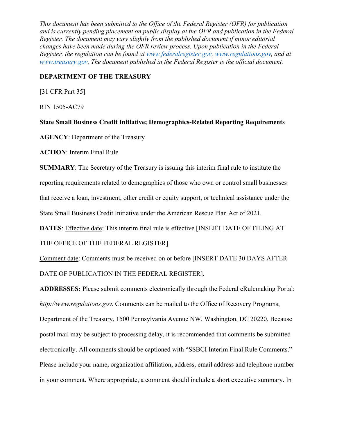*This document has been submitted to the Office of the Federal Register (OFR) for publication and is currently pending placement on public display at the OFR and publication in the Federal Register. The document may vary slightly from the published document if minor editorial changes have been made during the OFR review process. Upon publication in the Federal Register, the regulation can be found at www.federalregister.gov, www.regulations.gov, and at www.treasury.gov. The document published in the Federal Register is the official document.* 

## **DEPARTMENT OF THE TREASURY**

[31 CFR Part 35]

RIN 1505-AC79

**State Small Business Credit Initiative; Demographics-Related Reporting Requirements** 

**AGENCY**: Department of the Treasury

**ACTION**: Interim Final Rule

**SUMMARY**: The Secretary of the Treasury is issuing this interim final rule to institute the reporting requirements related to demographics of those who own or control small businesses that receive a loan, investment, other credit or equity support, or technical assistance under the State Small Business Credit Initiative under the American Rescue Plan Act of 2021.

**DATES**: Effective date: This interim final rule is effective [INSERT DATE OF FILING AT

THE OFFICE OF THE FEDERAL REGISTER].

Comment date: Comments must be received on or before [INSERT DATE 30 DAYS AFTER DATE OF PUBLICATION IN THE FEDERAL REGISTER].

**ADDRESSES:** Please submit comments electronically through the Federal eRulemaking Portal: *http://www.regulations.gov*. Comments can be mailed to the Office of Recovery Programs,

Department of the Treasury, 1500 Pennsylvania Avenue NW, Washington, DC 20220. Because postal mail may be subject to processing delay, it is recommended that comments be submitted electronically. All comments should be captioned with "SSBCI Interim Final Rule Comments." Please include your name, organization affiliation, address, email address and telephone number in your comment. Where appropriate, a comment should include a short executive summary. In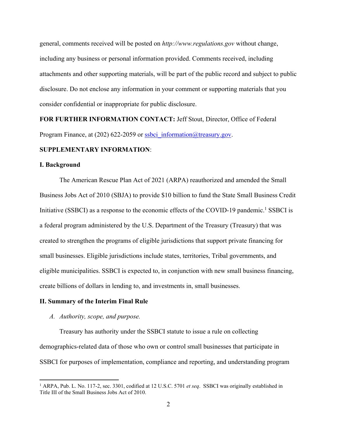general, comments received will be posted on *http://www.regulations.gov* without change, including any business or personal information provided. Comments received, including attachments and other supporting materials, will be part of the public record and subject to public disclosure. Do not enclose any information in your comment or supporting materials that you consider confidential or inappropriate for public disclosure.

**FOR FURTHER INFORMATION CONTACT:** Jeff Stout, Director, Office of Federal Program Finance, at (202) 622-2059 or ssbci information  $@$  treasury.gov.

## **SUPPLEMENTARY INFORMATION**:

#### **I. Background**

The American Rescue Plan Act of 2021 (ARPA) reauthorized and amended the Small Business Jobs Act of 2010 (SBJA) to provide \$10 billion to fund the State Small Business Credit Initiative (SSBCI) as a response to the economic effects of the COVID-19 pandemic.<sup>1</sup> SSBCI is a federal program administered by the U.S. Department of the Treasury (Treasury) that was created to strengthen the programs of eligible jurisdictions that support private financing for small businesses. Eligible jurisdictions include states, territories, Tribal governments, and eligible municipalities. SSBCI is expected to, in conjunction with new small business financing, create billions of dollars in lending to, and investments in, small businesses.

#### **II. Summary of the Interim Final Rule**

#### *A. Authority, scope, and purpose.*

Treasury has authority under the SSBCI statute to issue a rule on collecting demographics-related data of those who own or control small businesses that participate in SSBCI for purposes of implementation, compliance and reporting, and understanding program

<sup>1</sup> ARPA, Pub. L. No. 117-2, sec. 3301, codified at 12 U.S.C. 5701 *et seq*. SSBCI was originally established in Title III of the Small Business Jobs Act of 2010.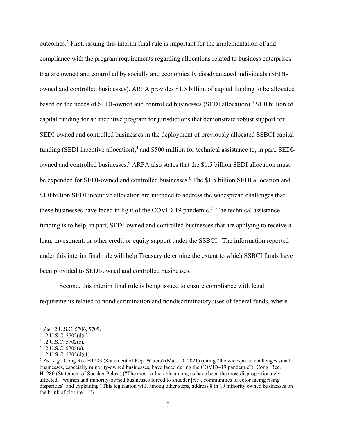outcomes.<sup>2</sup> First, issuing this interim final rule is important for the implementation of and compliance with the program requirements regarding allocations related to business enterprises that are owned and controlled by socially and economically disadvantaged individuals (SEDIowned and controlled businesses). ARPA provides \$1.5 billion of capital funding to be allocated based on the needs of SEDI-owned and controlled businesses (SEDI allocation), $3$  \$1.0 billion of capital funding for an incentive program for jurisdictions that demonstrate robust support for SEDI-owned and controlled businesses in the deployment of previously allocated SSBCI capital funding (SEDI incentive allocation),<sup>4</sup> and \$500 million for technical assistance to, in part, SEDIowned and controlled businesses.<sup>5</sup> ARPA also states that the \$1.5 billion SEDI allocation must be expended for SEDI-owned and controlled businesses.<sup>6</sup> The \$1.5 billion SEDI allocation and \$1.0 billion SEDI incentive allocation are intended to address the widespread challenges that these businesses have faced in light of the COVID-19 pandemic.<sup>7</sup> The technical assistance funding is to help, in part, SEDI-owned and controlled businesses that are applying to receive a loan, investment, or other credit or equity support under the SSBCI. The information reported under this interim final rule will help Treasury determine the extent to which SSBCI funds have been provided to SEDI-owned and controlled businesses.

Second, this interim final rule is being issued to ensure compliance with legal requirements related to nondiscrimination and nondiscriminatory uses of federal funds, where

<sup>&</sup>lt;sup>2</sup> See 12 U.S.C. 5706, 5709.

 $3$  12 U.S.C. 5702(d)(2).

<sup>4</sup> 12 U.S.C. 5702(e).

<sup>5</sup> 12 U.S.C. 5708(e).

 $6$  12 U.S.C.  $5702(d)(1)$ .

<sup>7</sup> *See, e.g.*, Cong Rec H1283 (Statement of Rep. Waters) (Mar. 10, 2021) (citing "the widespread challenges small businesses, especially minority-owned businesses, have faced during the COVID–19 pandemic"); Cong. Rec. H1280 (Statement of Speaker Pelosi) ("The most vulnerable among us have been the most disproportionately affected…women and minority-owned businesses forced to shudder [*sic*], communities of color facing rising disparities" and explaining "This legislation will, among other steps, address 8 in 10 minority owned businesses on the brink of closure….").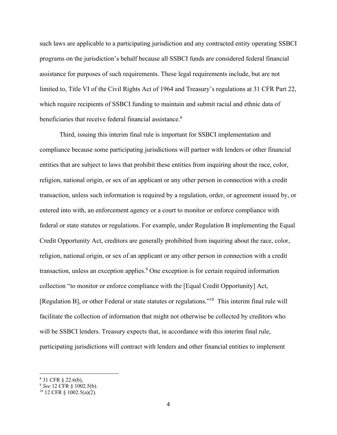such laws are applicable to a participating jurisdiction and any contracted entity operating SSBCI programs on the jurisdiction's behalf because all SSBCI funds are considered federal financial assistance for purposes of such requirements. These legal requirements include, but are not limited to, Title VI of the Civil Rights Act of 1964 and Treasury's regulations at 31 CFR Part 22, which require recipients of SSBCI funding to maintain and submit racial and ethnic data of beneficiaries that receive federal financial assistance.<sup>8</sup>

 Third, issuing this interim final rule is important for SSBCI implementation and compliance because some participating jurisdictions will partner with lenders or other financial entities that are subject to laws that prohibit these entities from inquiring about the race, color, religion, national origin, or sex of an applicant or any other person in connection with a credit transaction, unless such information is required by a regulation, order, or agreement issued by, or entered into with, an enforcement agency or a court to monitor or enforce compliance with federal or state statutes or regulations. For example, under Regulation B implementing the Equal Credit Opportunity Act, creditors are generally prohibited from inquiring about the race, color, religion, national origin, or sex of an applicant or any other person in connection with a credit transaction, unless an exception applies.<sup>9</sup> One exception is for certain required information collection "to monitor or enforce compliance with the [Equal Credit Opportunity] Act, [Regulation B], or other Federal or state statutes or regulations."10 This interim final rule will facilitate the collection of information that might not otherwise be collected by creditors who will be SSBCI lenders. Treasury expects that, in accordance with this interim final rule, participating jurisdictions will contract with lenders and other financial entities to implement

<sup>8</sup> 31 CFR § 22.6(b),

<sup>&</sup>lt;sup>9</sup> *See* 12 CFR § 1002.5(b).<br><sup>10</sup> 12 CFR § 1002.5(a)(2).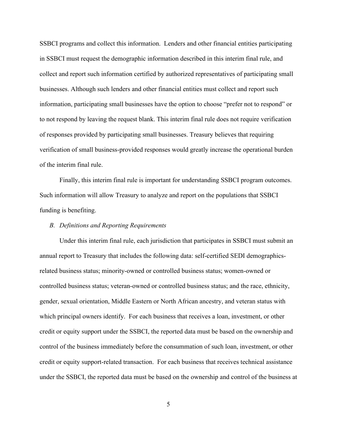SSBCI programs and collect this information. Lenders and other financial entities participating in SSBCI must request the demographic information described in this interim final rule, and collect and report such information certified by authorized representatives of participating small businesses. Although such lenders and other financial entities must collect and report such information, participating small businesses have the option to choose "prefer not to respond" or to not respond by leaving the request blank. This interim final rule does not require verification of responses provided by participating small businesses. Treasury believes that requiring verification of small business-provided responses would greatly increase the operational burden of the interim final rule.

Finally, this interim final rule is important for understanding SSBCI program outcomes. Such information will allow Treasury to analyze and report on the populations that SSBCI funding is benefiting.

### *B. Definitions and Reporting Requirements*

Under this interim final rule, each jurisdiction that participates in SSBCI must submit an annual report to Treasury that includes the following data: self-certified SEDI demographicsrelated business status; minority-owned or controlled business status; women-owned or controlled business status; veteran-owned or controlled business status; and the race, ethnicity, gender, sexual orientation, Middle Eastern or North African ancestry, and veteran status with which principal owners identify. For each business that receives a loan, investment, or other credit or equity support under the SSBCI, the reported data must be based on the ownership and control of the business immediately before the consummation of such loan, investment, or other credit or equity support-related transaction. For each business that receives technical assistance under the SSBCI, the reported data must be based on the ownership and control of the business at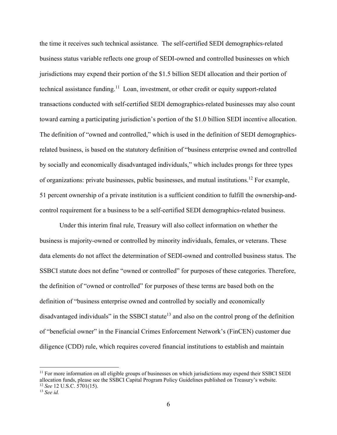the time it receives such technical assistance. The self-certified SEDI demographics-related business status variable reflects one group of SEDI-owned and controlled businesses on which jurisdictions may expend their portion of the \$1.5 billion SEDI allocation and their portion of technical assistance funding.<sup>11</sup> Loan, investment, or other credit or equity support-related transactions conducted with self-certified SEDI demographics-related businesses may also count toward earning a participating jurisdiction's portion of the \$1.0 billion SEDI incentive allocation. The definition of "owned and controlled," which is used in the definition of SEDI demographicsrelated business, is based on the statutory definition of "business enterprise owned and controlled by socially and economically disadvantaged individuals," which includes prongs for three types of organizations: private businesses, public businesses, and mutual institutions.12 For example, 51 percent ownership of a private institution is a sufficient condition to fulfill the ownership-andcontrol requirement for a business to be a self-certified SEDI demographics-related business.

 Under this interim final rule, Treasury will also collect information on whether the business is majority-owned or controlled by minority individuals, females, or veterans. These data elements do not affect the determination of SEDI-owned and controlled business status. The SSBCI statute does not define "owned or controlled" for purposes of these categories. Therefore, the definition of "owned or controlled" for purposes of these terms are based both on the definition of "business enterprise owned and controlled by socially and economically disadvantaged individuals" in the SSBCI statute<sup>13</sup> and also on the control prong of the definition of "beneficial owner" in the Financial Crimes Enforcement Network's (FinCEN) customer due diligence (CDD) rule, which requires covered financial institutions to establish and maintain

<sup>&</sup>lt;sup>11</sup> For more information on all eligible groups of businesses on which jurisdictions may expend their SSBCI SEDI allocation funds, please see the SSBCI Capital Program Policy Guidelines published on Treasury's website. <sup>12</sup> *See* 12 U.S.C. 5701(15). 13 *See id.*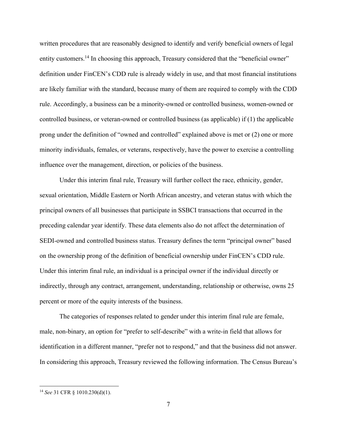written procedures that are reasonably designed to identify and verify beneficial owners of legal entity customers.<sup>14</sup> In choosing this approach, Treasury considered that the "beneficial owner" definition under FinCEN's CDD rule is already widely in use, and that most financial institutions are likely familiar with the standard, because many of them are required to comply with the CDD rule. Accordingly, a business can be a minority-owned or controlled business, women-owned or controlled business, or veteran-owned or controlled business (as applicable) if (1) the applicable prong under the definition of "owned and controlled" explained above is met or (2) one or more minority individuals, females, or veterans, respectively, have the power to exercise a controlling influence over the management, direction, or policies of the business.

Under this interim final rule, Treasury will further collect the race, ethnicity, gender, sexual orientation, Middle Eastern or North African ancestry, and veteran status with which the principal owners of all businesses that participate in SSBCI transactions that occurred in the preceding calendar year identify. These data elements also do not affect the determination of SEDI-owned and controlled business status. Treasury defines the term "principal owner" based on the ownership prong of the definition of beneficial ownership under FinCEN's CDD rule. Under this interim final rule, an individual is a principal owner if the individual directly or indirectly, through any contract, arrangement, understanding, relationship or otherwise, owns 25 percent or more of the equity interests of the business.

The categories of responses related to gender under this interim final rule are female, male, non-binary, an option for "prefer to self-describe" with a write-in field that allows for identification in a different manner, "prefer not to respond," and that the business did not answer. In considering this approach, Treasury reviewed the following information. The Census Bureau's

<sup>14</sup> *See* 31 CFR § 1010.230(d)(1).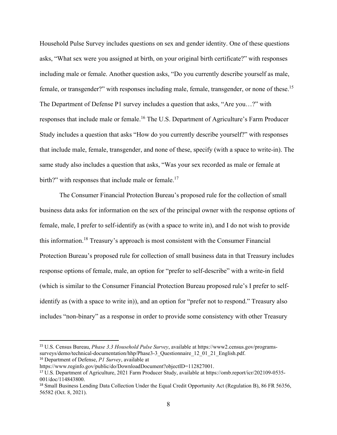Household Pulse Survey includes questions on sex and gender identity. One of these questions asks, "What sex were you assigned at birth, on your original birth certificate?" with responses including male or female. Another question asks, "Do you currently describe yourself as male, female, or transgender?" with responses including male, female, transgender, or none of these.15 The Department of Defense P1 survey includes a question that asks, "Are you…?" with responses that include male or female.16 The U.S. Department of Agriculture's Farm Producer Study includes a question that asks "How do you currently describe yourself?" with responses that include male, female, transgender, and none of these, specify (with a space to write-in). The same study also includes a question that asks, "Was your sex recorded as male or female at birth?" with responses that include male or female.<sup>17</sup>

 The Consumer Financial Protection Bureau's proposed rule for the collection of small business data asks for information on the sex of the principal owner with the response options of female, male, I prefer to self-identify as (with a space to write in), and I do not wish to provide this information.18 Treasury's approach is most consistent with the Consumer Financial Protection Bureau's proposed rule for collection of small business data in that Treasury includes response options of female, male, an option for "prefer to self-describe" with a write-in field (which is similar to the Consumer Financial Protection Bureau proposed rule's I prefer to selfidentify as (with a space to write in)), and an option for "prefer not to respond." Treasury also includes "non-binary" as a response in order to provide some consistency with other Treasury

<sup>15</sup> U.S. Census Bureau, *Phase 3.3 Household Pulse Survey*, available at https://www2.census.gov/programssurveys/demo/technical-documentation/hhp/Phase3-3\_Questionnaire\_12\_01\_21\_English.pdf.

<sup>16</sup> Department of Defense, *P1 Survey*, available at

https://www.reginfo.gov/public/do/DownloadDocument?objectID=112827001.

<sup>17</sup> U.S. Department of Agriculture, 2021 Farm Producer Study, available at https://omb.report/icr/202109-0535- 001/doc/114843800.

<sup>18</sup> Small Business Lending Data Collection Under the Equal Credit Opportunity Act (Regulation B), 86 FR 56356, 56582 (Oct. 8, 2021).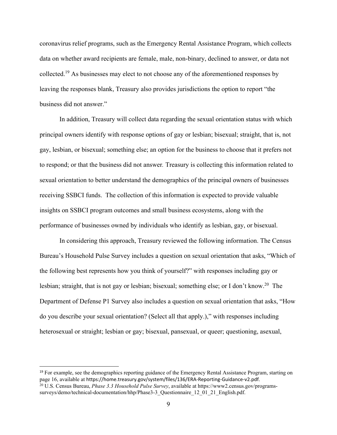coronavirus relief programs, such as the Emergency Rental Assistance Program, which collects data on whether award recipients are female, male, non-binary, declined to answer, or data not collected.19 As businesses may elect to not choose any of the aforementioned responses by leaving the responses blank, Treasury also provides jurisdictions the option to report "the business did not answer."

In addition, Treasury will collect data regarding the sexual orientation status with which principal owners identify with response options of gay or lesbian; bisexual; straight, that is, not gay, lesbian, or bisexual; something else; an option for the business to choose that it prefers not to respond; or that the business did not answer*.* Treasury is collecting this information related to sexual orientation to better understand the demographics of the principal owners of businesses receiving SSBCI funds. The collection of this information is expected to provide valuable insights on SSBCI program outcomes and small business ecosystems, along with the performance of businesses owned by individuals who identify as lesbian, gay, or bisexual.

In considering this approach, Treasury reviewed the following information. The Census Bureau's Household Pulse Survey includes a question on sexual orientation that asks, "Which of the following best represents how you think of yourself?" with responses including gay or lesbian; straight, that is not gay or lesbian; bisexual; something else; or I don't know.<sup>20</sup> The Department of Defense P1 Survey also includes a question on sexual orientation that asks, "How do you describe your sexual orientation? (Select all that apply.)," with responses including heterosexual or straight; lesbian or gay; bisexual, pansexual, or queer; questioning, asexual,

<sup>&</sup>lt;sup>19</sup> For example, see the demographics reporting guidance of the Emergency Rental Assistance Program, starting on page 16, available at https://home.treasury.gov/system/files/136/ERA‐Reporting‐Guidance‐v2.pdf. 20 U.S. Census Bureau, *Phase 3.3 Household Pulse Survey*, available at https://www2.census.gov/programssurveys/demo/technical-documentation/hhp/Phase3-3\_Questionnaire\_12\_01\_21\_English.pdf.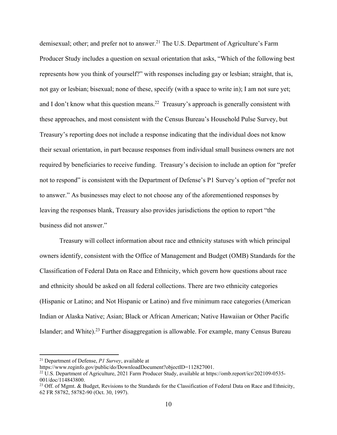demisexual; other; and prefer not to answer.<sup>21</sup> The U.S. Department of Agriculture's Farm Producer Study includes a question on sexual orientation that asks, "Which of the following best represents how you think of yourself?" with responses including gay or lesbian; straight, that is, not gay or lesbian; bisexual; none of these, specify (with a space to write in); I am not sure yet; and I don't know what this question means.<sup>22</sup> Treasury's approach is generally consistent with these approaches, and most consistent with the Census Bureau's Household Pulse Survey, but Treasury's reporting does not include a response indicating that the individual does not know their sexual orientation, in part because responses from individual small business owners are not required by beneficiaries to receive funding. Treasury's decision to include an option for "prefer not to respond" is consistent with the Department of Defense's P1 Survey's option of "prefer not to answer." As businesses may elect to not choose any of the aforementioned responses by leaving the responses blank, Treasury also provides jurisdictions the option to report "the business did not answer."

Treasury will collect information about race and ethnicity statuses with which principal owners identify, consistent with the Office of Management and Budget (OMB) Standards for the Classification of Federal Data on Race and Ethnicity, which govern how questions about race and ethnicity should be asked on all federal collections. There are two ethnicity categories (Hispanic or Latino; and Not Hispanic or Latino) and five minimum race categories (American Indian or Alaska Native; Asian; Black or African American; Native Hawaiian or Other Pacific Islander; and White).<sup>23</sup> Further disaggregation is allowable. For example, many Census Bureau

<sup>21</sup> Department of Defense, *P1 Survey*, available at

https://www.reginfo.gov/public/do/DownloadDocument?objectID=112827001.

<sup>22</sup> U.S. Department of Agriculture, 2021 Farm Producer Study, available at https://omb.report/icr/202109-0535- 001/doc/114843800.

<sup>&</sup>lt;sup>23</sup> Off. of Mgmt. & Budget, Revisions to the Standards for the Classification of Federal Data on Race and Ethnicity, 62 FR 58782, 58782-90 (Oct. 30, 1997).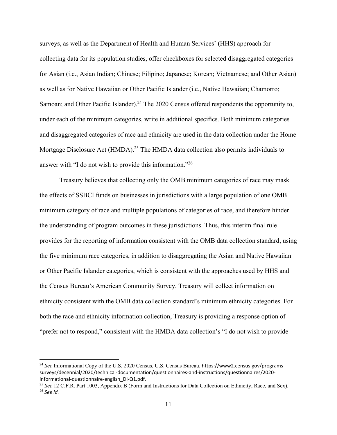surveys, as well as the Department of Health and Human Services' (HHS) approach for collecting data for its population studies, offer checkboxes for selected disaggregated categories for Asian (i.e., Asian Indian; Chinese; Filipino; Japanese; Korean; Vietnamese; and Other Asian) as well as for Native Hawaiian or Other Pacific Islander (i.e., Native Hawaiian; Chamorro; Samoan; and Other Pacific Islander).<sup>24</sup> The 2020 Census offered respondents the opportunity to, under each of the minimum categories, write in additional specifics. Both minimum categories and disaggregated categories of race and ethnicity are used in the data collection under the Home Mortgage Disclosure Act (HMDA).<sup>25</sup> The HMDA data collection also permits individuals to answer with "I do not wish to provide this information."<sup>26</sup>

Treasury believes that collecting only the OMB minimum categories of race may mask the effects of SSBCI funds on businesses in jurisdictions with a large population of one OMB minimum category of race and multiple populations of categories of race, and therefore hinder the understanding of program outcomes in these jurisdictions. Thus, this interim final rule provides for the reporting of information consistent with the OMB data collection standard, using the five minimum race categories, in addition to disaggregating the Asian and Native Hawaiian or Other Pacific Islander categories, which is consistent with the approaches used by HHS and the Census Bureau's American Community Survey. Treasury will collect information on ethnicity consistent with the OMB data collection standard's minimum ethnicity categories. For both the race and ethnicity information collection, Treasury is providing a response option of "prefer not to respond," consistent with the HMDA data collection's "I do not wish to provide

<sup>24</sup> *See* Informational Copy of the U.S. 2020 Census, U.S. Census Bureau, https://www2.census.gov/programs‐ surveys/decennial/2020/technical‐documentation/questionnaires‐and‐instructions/questionnaires/2020‐ informational-questionnaire-english\_DI-Q1.pdf.<br><sup>25</sup> *See* 12 C.F.R. Part 1003, Appendix B (Form and Instructions for Data Collection on Ethnicity, Race, and Sex).

<sup>26</sup> *See id.*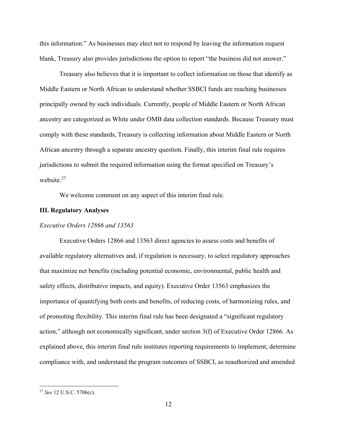this information." As businesses may elect not to respond by leaving the information request blank, Treasury also provides jurisdictions the option to report "the business did not answer."

Treasury also believes that it is important to collect information on those that identify as Middle Eastern or North African to understand whether SSBCI funds are reaching businesses principally owned by such individuals. Currently, people of Middle Eastern or North African ancestry are categorized as White under OMB data collection standards. Because Treasury must comply with these standards, Treasury is collecting information about Middle Eastern or North African ancestry through a separate ancestry question. Finally, this interim final rule requires jurisdictions to submit the required information using the format specified on Treasury's website.<sup>27</sup>

We welcome comment on any aspect of this interim final rule.

## **III. Regulatory Analyses**

#### *Executive Orders 12866 and 13563*

Executive Orders 12866 and 13563 direct agencies to assess costs and benefits of available regulatory alternatives and, if regulation is necessary, to select regulatory approaches that maximize net benefits (including potential economic, environmental, public health and safety effects, distributive impacts, and equity). Executive Order 13563 emphasizes the importance of quantifying both costs and benefits, of reducing costs, of harmonizing rules, and of promoting flexibility. This interim final rule has been designated a "significant regulatory action," although not economically significant, under section 3(f) of Executive Order 12866. As explained above, this interim final rule institutes reporting requirements to implement, determine compliance with, and understand the program outcomes of SSBCI, as reauthorized and amended

<sup>27</sup> *See* 12 U.S.C. 5706(c).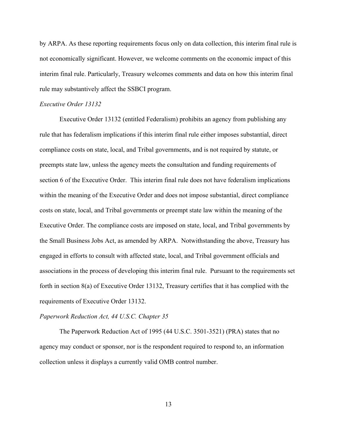by ARPA. As these reporting requirements focus only on data collection, this interim final rule is not economically significant. However, we welcome comments on the economic impact of this interim final rule. Particularly, Treasury welcomes comments and data on how this interim final rule may substantively affect the SSBCI program.

### *Executive Order 13132*

Executive Order 13132 (entitled Federalism) prohibits an agency from publishing any rule that has federalism implications if this interim final rule either imposes substantial, direct compliance costs on state, local, and Tribal governments, and is not required by statute, or preempts state law, unless the agency meets the consultation and funding requirements of section 6 of the Executive Order. This interim final rule does not have federalism implications within the meaning of the Executive Order and does not impose substantial, direct compliance costs on state, local, and Tribal governments or preempt state law within the meaning of the Executive Order. The compliance costs are imposed on state, local, and Tribal governments by the Small Business Jobs Act, as amended by ARPA. Notwithstanding the above, Treasury has engaged in efforts to consult with affected state, local, and Tribal government officials and associations in the process of developing this interim final rule. Pursuant to the requirements set forth in section 8(a) of Executive Order 13132, Treasury certifies that it has complied with the requirements of Executive Order 13132.

#### *Paperwork Reduction Act, 44 U.S.C. Chapter 35*

The Paperwork Reduction Act of 1995 (44 U.S.C. 3501-3521) (PRA) states that no agency may conduct or sponsor, nor is the respondent required to respond to, an information collection unless it displays a currently valid OMB control number.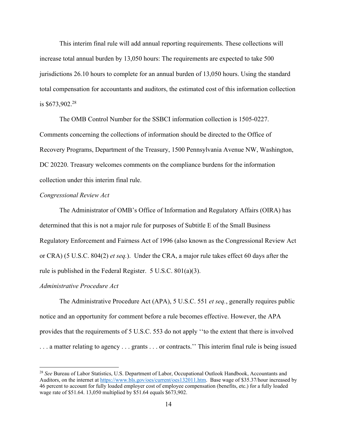This interim final rule will add annual reporting requirements. These collections will increase total annual burden by 13,050 hours: The requirements are expected to take 500 jurisdictions 26.10 hours to complete for an annual burden of 13,050 hours. Using the standard total compensation for accountants and auditors, the estimated cost of this information collection is \$673,902.28

The OMB Control Number for the SSBCI information collection is 1505-0227. Comments concerning the collections of information should be directed to the Office of Recovery Programs, Department of the Treasury, 1500 Pennsylvania Avenue NW, Washington, DC 20220. Treasury welcomes comments on the compliance burdens for the information collection under this interim final rule.

#### *Congressional Review Act*

The Administrator of OMB's Office of Information and Regulatory Affairs (OIRA) has determined that this is not a major rule for purposes of Subtitle E of the Small Business Regulatory Enforcement and Fairness Act of 1996 (also known as the Congressional Review Act or CRA) (5 U.S.C. 804(2) *et seq.*). Under the CRA, a major rule takes effect 60 days after the rule is published in the Federal Register. 5 U.S.C. 801(a)(3).

#### *Administrative Procedure Act*

The Administrative Procedure Act (APA), 5 U.S.C. 551 *et seq.*, generally requires public notice and an opportunity for comment before a rule becomes effective. However, the APA provides that the requirements of 5 U.S.C. 553 do not apply ''to the extent that there is involved . . . a matter relating to agency . . . grants . . . or contracts.'' This interim final rule is being issued

<sup>28</sup> *See* Bureau of Labor Statistics, U.S. Department of Labor, Occupational Outlook Handbook, Accountants and Auditors, on the internet at https://www.bls.gov/oes/current/oes132011.htm. Base wage of \$35.37/hour increased by 46 percent to account for fully loaded employer cost of employee compensation (benefits, etc.) for a fully loaded wage rate of \$51.64. 13,050 multiplied by \$51.64 equals \$673,902.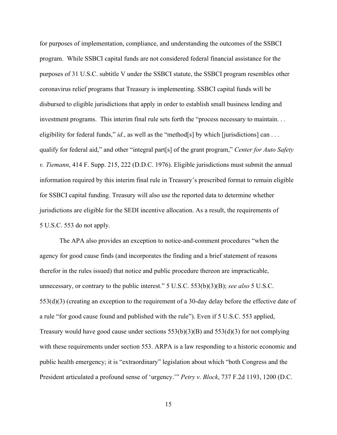for purposes of implementation, compliance, and understanding the outcomes of the SSBCI program. While SSBCI capital funds are not considered federal financial assistance for the purposes of 31 U.S.C. subtitle V under the SSBCI statute, the SSBCI program resembles other coronavirus relief programs that Treasury is implementing. SSBCI capital funds will be disbursed to eligible jurisdictions that apply in order to establish small business lending and investment programs. This interim final rule sets forth the "process necessary to maintain. . . eligibility for federal funds," *id.*, as well as the "method[s] by which [jurisdictions] can ... qualify for federal aid," and other "integral part[s] of the grant program," *Center for Auto Safety v. Tiemann*, 414 F. Supp. 215, 222 (D.D.C. 1976). Eligible jurisdictions must submit the annual information required by this interim final rule in Treasury's prescribed format to remain eligible for SSBCI capital funding. Treasury will also use the reported data to determine whether jurisdictions are eligible for the SEDI incentive allocation. As a result, the requirements of 5 U.S.C. 553 do not apply.

The APA also provides an exception to notice-and-comment procedures "when the agency for good cause finds (and incorporates the finding and a brief statement of reasons therefor in the rules issued) that notice and public procedure thereon are impracticable, unnecessary, or contrary to the public interest." 5 U.S.C. 553(b)(3)(B); *see also* 5 U.S.C. 553(d)(3) (creating an exception to the requirement of a 30-day delay before the effective date of a rule "for good cause found and published with the rule"). Even if 5 U.S.C. 553 applied, Treasury would have good cause under sections  $553(b)(3)(B)$  and  $553(d)(3)$  for not complying with these requirements under section 553. ARPA is a law responding to a historic economic and public health emergency; it is "extraordinary" legislation about which "both Congress and the President articulated a profound sense of 'urgency.'" *Petry v. Block*, 737 F.2d 1193, 1200 (D.C.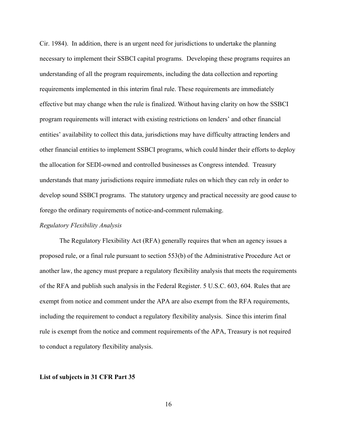Cir. 1984). In addition, there is an urgent need for jurisdictions to undertake the planning necessary to implement their SSBCI capital programs. Developing these programs requires an understanding of all the program requirements, including the data collection and reporting requirements implemented in this interim final rule. These requirements are immediately effective but may change when the rule is finalized. Without having clarity on how the SSBCI program requirements will interact with existing restrictions on lenders' and other financial entities' availability to collect this data, jurisdictions may have difficulty attracting lenders and other financial entities to implement SSBCI programs, which could hinder their efforts to deploy the allocation for SEDI-owned and controlled businesses as Congress intended. Treasury understands that many jurisdictions require immediate rules on which they can rely in order to develop sound SSBCI programs. The statutory urgency and practical necessity are good cause to forego the ordinary requirements of notice-and-comment rulemaking.

#### *Regulatory Flexibility Analysis*

The Regulatory Flexibility Act (RFA) generally requires that when an agency issues a proposed rule, or a final rule pursuant to section 553(b) of the Administrative Procedure Act or another law, the agency must prepare a regulatory flexibility analysis that meets the requirements of the RFA and publish such analysis in the Federal Register. 5 U.S.C. 603, 604. Rules that are exempt from notice and comment under the APA are also exempt from the RFA requirements, including the requirement to conduct a regulatory flexibility analysis. Since this interim final rule is exempt from the notice and comment requirements of the APA, Treasury is not required to conduct a regulatory flexibility analysis.

#### **List of subjects in 31 CFR Part 35**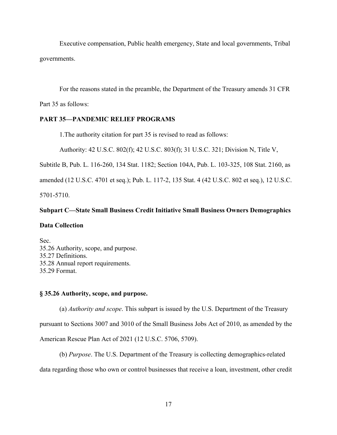Executive compensation, Public health emergency, State and local governments, Tribal governments.

 For the reasons stated in the preamble, the Department of the Treasury amends 31 CFR Part 35 as follows:

## **PART 35—PANDEMIC RELIEF PROGRAMS**

1.The authority citation for part 35 is revised to read as follows:

Authority: 42 U.S.C. 802(f); 42 U.S.C. 803(f); 31 U.S.C. 321; Division N, Title V,

Subtitle B, Pub. L. 116-260, 134 Stat. 1182; Section 104A, Pub. L. 103-325, 108 Stat. 2160, as

amended (12 U.S.C. 4701 et seq.); Pub. L. 117-2, 135 Stat. 4 (42 U.S.C. 802 et seq.), 12 U.S.C.

5701-5710.

# **Subpart C—State Small Business Credit Initiative Small Business Owners Demographics**

## **Data Collection**

Sec. 35.26 Authority, scope, and purpose. 35.27 Definitions. 35.28 Annual report requirements. 35.29 Format.

# **§ 35.26 Authority, scope, and purpose.**

(a) *Authority and scope*. This subpart is issued by the U.S. Department of the Treasury pursuant to Sections 3007 and 3010 of the Small Business Jobs Act of 2010, as amended by the American Rescue Plan Act of 2021 (12 U.S.C. 5706, 5709).

(b) *Purpose*. The U.S. Department of the Treasury is collecting demographics-related data regarding those who own or control businesses that receive a loan, investment, other credit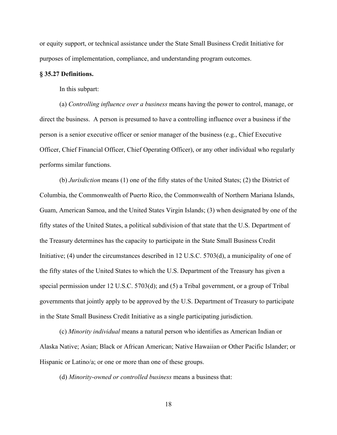or equity support, or technical assistance under the State Small Business Credit Initiative for purposes of implementation, compliance, and understanding program outcomes.

#### **§ 35.27 Definitions.**

In this subpart:

(a) *Controlling influence over a business* means having the power to control, manage, or direct the business. A person is presumed to have a controlling influence over a business if the person is a senior executive officer or senior manager of the business (e.g., Chief Executive Officer, Chief Financial Officer, Chief Operating Officer), or any other individual who regularly performs similar functions.

(b) *Jurisdiction* means (1) one of the fifty states of the United States; (2) the District of Columbia, the Commonwealth of Puerto Rico, the Commonwealth of Northern Mariana Islands, Guam, American Samoa, and the United States Virgin Islands; (3) when designated by one of the fifty states of the United States, a political subdivision of that state that the U.S. Department of the Treasury determines has the capacity to participate in the State Small Business Credit Initiative; (4) under the circumstances described in 12 U.S.C. 5703(d), a municipality of one of the fifty states of the United States to which the U.S. Department of the Treasury has given a special permission under 12 U.S.C. 5703(d); and (5) a Tribal government, or a group of Tribal governments that jointly apply to be approved by the U.S. Department of Treasury to participate in the State Small Business Credit Initiative as a single participating jurisdiction.

(c) *Minority individual* means a natural person who identifies as American Indian or Alaska Native; Asian; Black or African American; Native Hawaiian or Other Pacific Islander; or Hispanic or Latino/a; or one or more than one of these groups.

(d) *Minority-owned or controlled business* means a business that: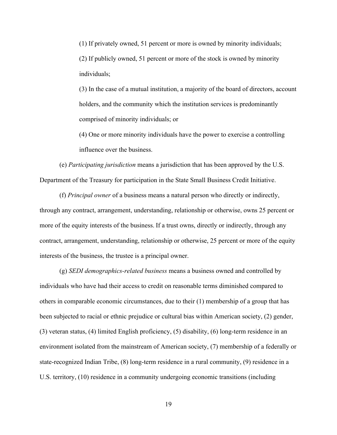(1) If privately owned, 51 percent or more is owned by minority individuals; (2) If publicly owned, 51 percent or more of the stock is owned by minority individuals;

(3) In the case of a mutual institution, a majority of the board of directors, account holders, and the community which the institution services is predominantly comprised of minority individuals; or

(4) One or more minority individuals have the power to exercise a controlling influence over the business.

(e) *Participating jurisdiction* means a jurisdiction that has been approved by the U.S. Department of the Treasury for participation in the State Small Business Credit Initiative.

(f) *Principal owner* of a business means a natural person who directly or indirectly, through any contract, arrangement, understanding, relationship or otherwise, owns 25 percent or more of the equity interests of the business. If a trust owns, directly or indirectly, through any contract, arrangement, understanding, relationship or otherwise, 25 percent or more of the equity interests of the business, the trustee is a principal owner.

(g) *SEDI demographics-related business* means a business owned and controlled by individuals who have had their access to credit on reasonable terms diminished compared to others in comparable economic circumstances, due to their (1) membership of a group that has been subjected to racial or ethnic prejudice or cultural bias within American society, (2) gender, (3) veteran status, (4) limited English proficiency, (5) disability, (6) long-term residence in an environment isolated from the mainstream of American society, (7) membership of a federally or state-recognized Indian Tribe, (8) long-term residence in a rural community, (9) residence in a U.S. territory, (10) residence in a community undergoing economic transitions (including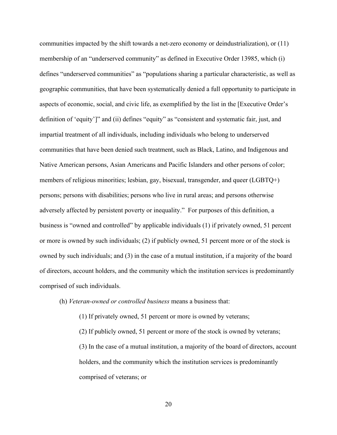communities impacted by the shift towards a net-zero economy or deindustrialization), or (11) membership of an "underserved community" as defined in Executive Order 13985, which (i) defines "underserved communities" as "populations sharing a particular characteristic, as well as geographic communities, that have been systematically denied a full opportunity to participate in aspects of economic, social, and civic life, as exemplified by the list in the [Executive Order's definition of 'equity']" and (ii) defines "equity" as "consistent and systematic fair, just, and impartial treatment of all individuals, including individuals who belong to underserved communities that have been denied such treatment, such as Black, Latino, and Indigenous and Native American persons, Asian Americans and Pacific Islanders and other persons of color; members of religious minorities; lesbian, gay, bisexual, transgender, and queer (LGBTQ+) persons; persons with disabilities; persons who live in rural areas; and persons otherwise adversely affected by persistent poverty or inequality." For purposes of this definition, a business is "owned and controlled" by applicable individuals (1) if privately owned, 51 percent or more is owned by such individuals; (2) if publicly owned, 51 percent more or of the stock is owned by such individuals; and (3) in the case of a mutual institution, if a majority of the board of directors, account holders, and the community which the institution services is predominantly comprised of such individuals.

(h) *Veteran-owned or controlled business* means a business that:

(1) If privately owned, 51 percent or more is owned by veterans;

(2) If publicly owned, 51 percent or more of the stock is owned by veterans; (3) In the case of a mutual institution, a majority of the board of directors, account holders, and the community which the institution services is predominantly comprised of veterans; or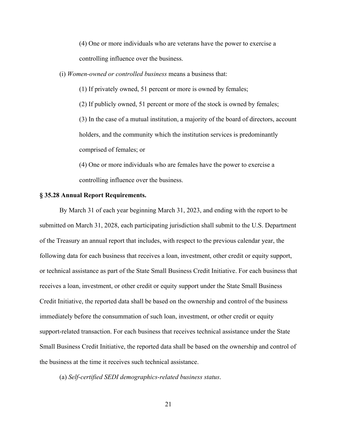(4) One or more individuals who are veterans have the power to exercise a controlling influence over the business.

(i) *Women-owned or controlled business* means a business that:

(1) If privately owned, 51 percent or more is owned by females;

(2) If publicly owned, 51 percent or more of the stock is owned by females;

(3) In the case of a mutual institution, a majority of the board of directors, account holders, and the community which the institution services is predominantly comprised of females; or

(4) One or more individuals who are females have the power to exercise a controlling influence over the business.

#### **§ 35.28 Annual Report Requirements.**

By March 31 of each year beginning March 31, 2023, and ending with the report to be submitted on March 31, 2028, each participating jurisdiction shall submit to the U.S. Department of the Treasury an annual report that includes, with respect to the previous calendar year, the following data for each business that receives a loan, investment, other credit or equity support, or technical assistance as part of the State Small Business Credit Initiative. For each business that receives a loan, investment, or other credit or equity support under the State Small Business Credit Initiative, the reported data shall be based on the ownership and control of the business immediately before the consummation of such loan, investment, or other credit or equity support-related transaction. For each business that receives technical assistance under the State Small Business Credit Initiative, the reported data shall be based on the ownership and control of the business at the time it receives such technical assistance.

(a) *Self-certified SEDI demographics-related business status*.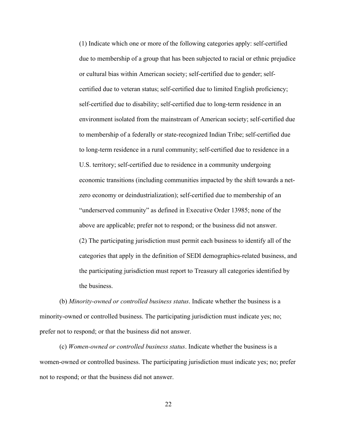(1) Indicate which one or more of the following categories apply: self-certified due to membership of a group that has been subjected to racial or ethnic prejudice or cultural bias within American society; self-certified due to gender; selfcertified due to veteran status; self-certified due to limited English proficiency; self-certified due to disability; self-certified due to long-term residence in an environment isolated from the mainstream of American society; self-certified due to membership of a federally or state-recognized Indian Tribe; self-certified due to long-term residence in a rural community; self-certified due to residence in a U.S. territory; self-certified due to residence in a community undergoing economic transitions (including communities impacted by the shift towards a netzero economy or deindustrialization); self-certified due to membership of an "underserved community" as defined in Executive Order 13985; none of the above are applicable; prefer not to respond; or the business did not answer. (2) The participating jurisdiction must permit each business to identify all of the categories that apply in the definition of SEDI demographics-related business, and the participating jurisdiction must report to Treasury all categories identified by the business.

(b) *Minority-owned or controlled business status*. Indicate whether the business is a minority-owned or controlled business. The participating jurisdiction must indicate yes; no; prefer not to respond; or that the business did not answer.

(c) *Women-owned or controlled business status*. Indicate whether the business is a women-owned or controlled business. The participating jurisdiction must indicate yes; no; prefer not to respond; or that the business did not answer.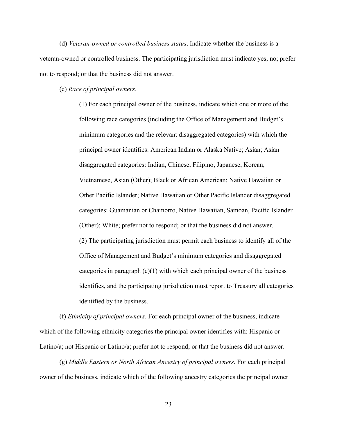(d) *Veteran-owned or controlled business status*. Indicate whether the business is a veteran-owned or controlled business. The participating jurisdiction must indicate yes; no; prefer not to respond; or that the business did not answer.

#### (e) *Race of principal owners*.

(1) For each principal owner of the business, indicate which one or more of the following race categories (including the Office of Management and Budget's minimum categories and the relevant disaggregated categories) with which the principal owner identifies: American Indian or Alaska Native; Asian; Asian disaggregated categories: Indian, Chinese, Filipino, Japanese, Korean, Vietnamese, Asian (Other); Black or African American; Native Hawaiian or Other Pacific Islander; Native Hawaiian or Other Pacific Islander disaggregated categories: Guamanian or Chamorro, Native Hawaiian, Samoan, Pacific Islander (Other); White; prefer not to respond; or that the business did not answer. (2) The participating jurisdiction must permit each business to identify all of the Office of Management and Budget's minimum categories and disaggregated categories in paragraph  $(e)(1)$  with which each principal owner of the business identifies, and the participating jurisdiction must report to Treasury all categories identified by the business.

(f) *Ethnicity of principal owners*. For each principal owner of the business, indicate which of the following ethnicity categories the principal owner identifies with: Hispanic or Latino/a; not Hispanic or Latino/a; prefer not to respond; or that the business did not answer.

(g) *Middle Eastern or North African Ancestry of principal owners*. For each principal owner of the business, indicate which of the following ancestry categories the principal owner